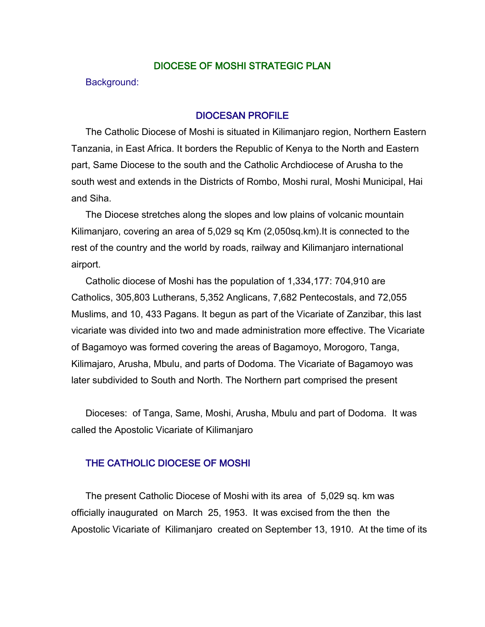### DIOCESE OF MOSHI STRATEGIC PLAN

Background:

#### DIOCESAN PROFILE

The Catholic Diocese of Moshi is situated in Kilimanjaro region, Northern Eastern Tanzania, in East Africa. It borders the Republic of Kenya to the North and Eastern part, Same Diocese to the south and the Catholic Archdiocese of Arusha to the south west and extends in the Districts of Rombo, Moshi rural, Moshi Municipal, Hai and Siha.

The Diocese stretches along the slopes and low plains of volcanic mountain Kilimanjaro, covering an area of 5,029 sq Km (2,050sq.km).It is connected to the rest of the country and the world by roads, railway and Kilimanjaro international airport.

Catholic diocese of Moshi has the population of 1,334,177: 704,910 are Catholics, 305,803 Lutherans, 5,352 Anglicans, 7,682 Pentecostals, and 72,055 Muslims, and 10, 433 Pagans. It begun as part of the Vicariate of Zanzibar, this last vicariate was divided into two and made administration more effective. The Vicariate of Bagamoyo was formed covering the areas of Bagamoyo, Morogoro, Tanga, Kilimajaro, Arusha, Mbulu, and parts of Dodoma. The Vicariate of Bagamoyo was later subdivided to South and North. The Northern part comprised the present

Dioceses: of Tanga, Same, Moshi, Arusha, Mbulu and part of Dodoma. It was called the Apostolic Vicariate of Kilimanjaro

## THE CATHOLIC DIOCESE OF MOSHI

The present Catholic Diocese of Moshi with its area of 5,029 sq. km was officially inaugurated on March 25, 1953. It was excised from the then the Apostolic Vicariate of Kilimanjaro created on September 13, 1910. At the time of its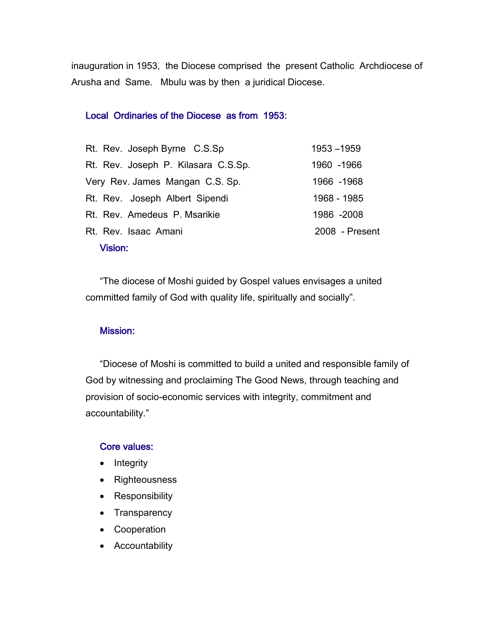inauguration in 1953, the Diocese comprised the present Catholic Archdiocese of Arusha and Same. Mbulu was by then a juridical Diocese.

#### Local Ordinaries of the Diocese as from 1953:

| Rt. Rev. Joseph Byrne C.S.Sp        | 1953-1959      |
|-------------------------------------|----------------|
| Rt. Rev. Joseph P. Kilasara C.S.Sp. | 1960 - 1966    |
| Very Rev. James Mangan C.S. Sp.     | 1966 - 1968    |
| Rt. Rev. Joseph Albert Sipendi      | 1968 - 1985    |
| Rt. Rev. Amedeus P. Msarikie        | 1986 -2008     |
| Rt. Rev. Isaac Amani                | 2008 - Present |
| <b>Vision:</b>                      |                |

"The diocese of Moshi guided by Gospel values envisages a united committed family of God with quality life, spiritually and socially".

#### Mission:

"Diocese of Moshi is committed to build a united and responsible family of God by witnessing and proclaiming The Good News, through teaching and provision of socio-economic services with integrity, commitment and accountability."

#### Core values:

- Integrity
- Righteousness
- Responsibility
- Transparency
- Cooperation
- Accountability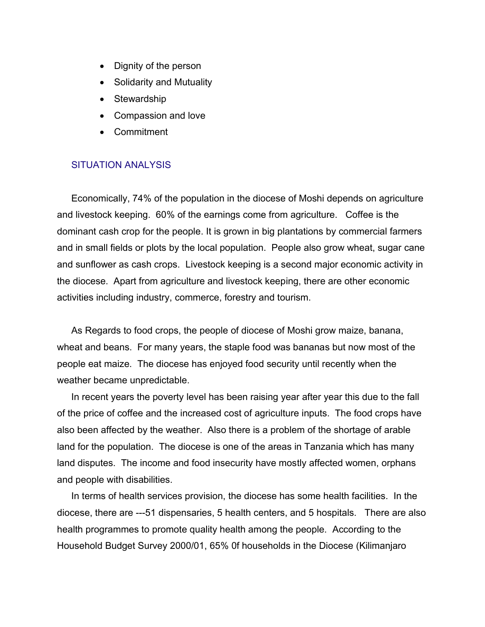- Dignity of the person
- Solidarity and Mutuality
- Stewardship
- Compassion and love
- Commitment

### SITUATION ANALYSIS

Economically, 74% of the population in the diocese of Moshi depends on agriculture and livestock keeping. 60% of the earnings come from agriculture. Coffee is the dominant cash crop for the people. It is grown in big plantations by commercial farmers and in small fields or plots by the local population. People also grow wheat, sugar cane and sunflower as cash crops. Livestock keeping is a second major economic activity in the diocese. Apart from agriculture and livestock keeping, there are other economic activities including industry, commerce, forestry and tourism.

As Regards to food crops, the people of diocese of Moshi grow maize, banana, wheat and beans. For many years, the staple food was bananas but now most of the people eat maize. The diocese has enjoyed food security until recently when the weather became unpredictable.

In recent years the poverty level has been raising year after year this due to the fall of the price of coffee and the increased cost of agriculture inputs. The food crops have also been affected by the weather. Also there is a problem of the shortage of arable land for the population. The diocese is one of the areas in Tanzania which has many land disputes. The income and food insecurity have mostly affected women, orphans and people with disabilities.

In terms of health services provision, the diocese has some health facilities. In the diocese, there are ---51 dispensaries, 5 health centers, and 5 hospitals. There are also health programmes to promote quality health among the people. According to the Household Budget Survey 2000/01, 65% 0f households in the Diocese (Kilimanjaro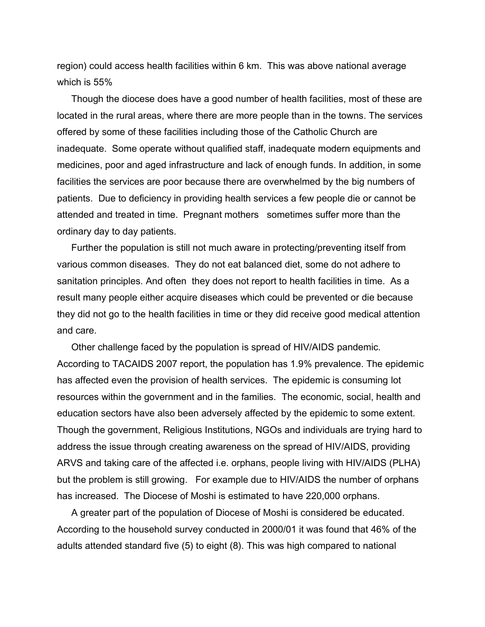region) could access health facilities within 6 km. This was above national average which is 55%

Though the diocese does have a good number of health facilities, most of these are located in the rural areas, where there are more people than in the towns. The services offered by some of these facilities including those of the Catholic Church are inadequate. Some operate without qualified staff, inadequate modern equipments and medicines, poor and aged infrastructure and lack of enough funds. In addition, in some facilities the services are poor because there are overwhelmed by the big numbers of patients. Due to deficiency in providing health services a few people die or cannot be attended and treated in time. Pregnant mothers sometimes suffer more than the ordinary day to day patients.

Further the population is still not much aware in protecting/preventing itself from various common diseases. They do not eat balanced diet, some do not adhere to sanitation principles. And often they does not report to health facilities in time. As a result many people either acquire diseases which could be prevented or die because they did not go to the health facilities in time or they did receive good medical attention and care.

Other challenge faced by the population is spread of HIV/AIDS pandemic. According to TACAIDS 2007 report, the population has 1.9% prevalence. The epidemic has affected even the provision of health services. The epidemic is consuming lot resources within the government and in the families. The economic, social, health and education sectors have also been adversely affected by the epidemic to some extent. Though the government, Religious Institutions, NGOs and individuals are trying hard to address the issue through creating awareness on the spread of HIV/AIDS, providing ARVS and taking care of the affected i.e. orphans, people living with HIV/AIDS (PLHA) but the problem is still growing. For example due to HIV/AIDS the number of orphans has increased. The Diocese of Moshi is estimated to have 220,000 orphans.

A greater part of the population of Diocese of Moshi is considered be educated. According to the household survey conducted in 2000/01 it was found that 46% of the adults attended standard five (5) to eight (8). This was high compared to national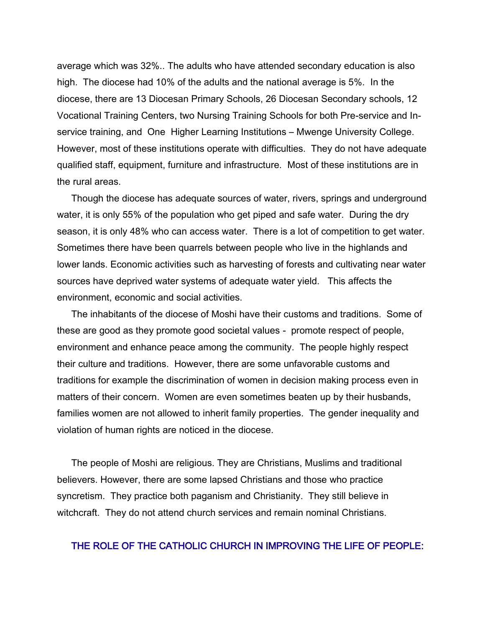average which was 32%.. The adults who have attended secondary education is also high. The diocese had 10% of the adults and the national average is 5%. In the diocese, there are 13 Diocesan Primary Schools, 26 Diocesan Secondary schools, 12 Vocational Training Centers, two Nursing Training Schools for both Pre-service and Inservice training, and One Higher Learning Institutions – Mwenge University College. However, most of these institutions operate with difficulties. They do not have adequate qualified staff, equipment, furniture and infrastructure. Most of these institutions are in the rural areas.

Though the diocese has adequate sources of water, rivers, springs and underground water, it is only 55% of the population who get piped and safe water. During the dry season, it is only 48% who can access water. There is a lot of competition to get water. Sometimes there have been quarrels between people who live in the highlands and lower lands. Economic activities such as harvesting of forests and cultivating near water sources have deprived water systems of adequate water yield. This affects the environment, economic and social activities.

The inhabitants of the diocese of Moshi have their customs and traditions. Some of these are good as they promote good societal values - promote respect of people, environment and enhance peace among the community. The people highly respect their culture and traditions. However, there are some unfavorable customs and traditions for example the discrimination of women in decision making process even in matters of their concern. Women are even sometimes beaten up by their husbands, families women are not allowed to inherit family properties. The gender inequality and violation of human rights are noticed in the diocese.

The people of Moshi are religious. They are Christians, Muslims and traditional believers. However, there are some lapsed Christians and those who practice syncretism. They practice both paganism and Christianity. They still believe in witchcraft. They do not attend church services and remain nominal Christians.

## THE ROLE OF THE CATHOLIC CHURCH IN IMPROVING THE LIFE OF PEOPLE: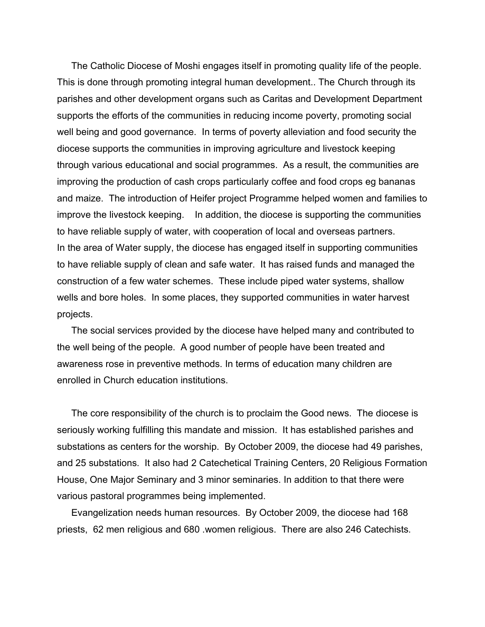The Catholic Diocese of Moshi engages itself in promoting quality life of the people. This is done through promoting integral human development.. The Church through its parishes and other development organs such as Caritas and Development Department supports the efforts of the communities in reducing income poverty, promoting social well being and good governance. In terms of poverty alleviation and food security the diocese supports the communities in improving agriculture and livestock keeping through various educational and social programmes. As a result, the communities are improving the production of cash crops particularly coffee and food crops eg bananas and maize. The introduction of Heifer project Programme helped women and families to improve the livestock keeping. In addition, the diocese is supporting the communities to have reliable supply of water, with cooperation of local and overseas partners. In the area of Water supply, the diocese has engaged itself in supporting communities to have reliable supply of clean and safe water. It has raised funds and managed the construction of a few water schemes. These include piped water systems, shallow wells and bore holes. In some places, they supported communities in water harvest projects.

The social services provided by the diocese have helped many and contributed to the well being of the people. A good number of people have been treated and awareness rose in preventive methods. In terms of education many children are enrolled in Church education institutions.

The core responsibility of the church is to proclaim the Good news. The diocese is seriously working fulfilling this mandate and mission. It has established parishes and substations as centers for the worship. By October 2009, the diocese had 49 parishes, and 25 substations. It also had 2 Catechetical Training Centers, 20 Religious Formation House, One Major Seminary and 3 minor seminaries. In addition to that there were various pastoral programmes being implemented.

Evangelization needs human resources. By October 2009, the diocese had 168 priests, 62 men religious and 680 .women religious. There are also 246 Catechists.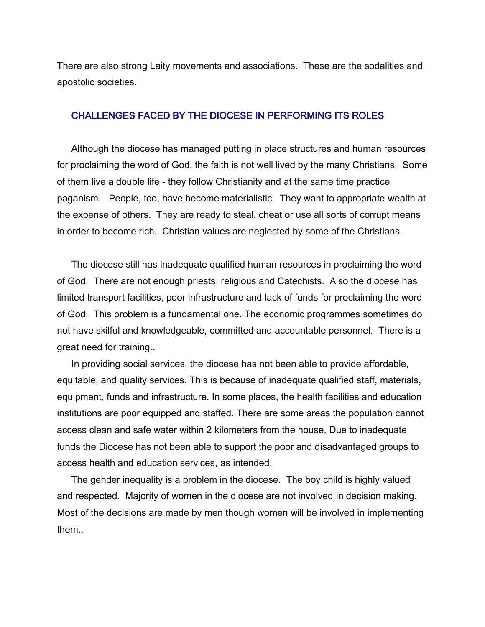There are also strong Laity movements and associations. These are the sodalities and apostolic societies.

#### CHALLENGES FACED BY THE DIOCESE IN PERFORMING ITS ROLES

Although the diocese has managed putting in place structures and human resources for proclaiming the word of God, the faith is not well lived by the many Christians. Some of them live a double life - they follow Christianity and at the same time practice paganism. People, too, have become materialistic. They want to appropriate wealth at the expense of others. They are ready to steal, cheat or use all sorts of corrupt means in order to become rich. Christian values are neglected by some of the Christians.

The diocese still has inadequate qualified human resources in proclaiming the word of God. There are not enough priests, religious and Catechists. Also the diocese has limited transport facilities, poor infrastructure and lack of funds for proclaiming the word of God. This problem is a fundamental one. The economic programmes sometimes do not have skilful and knowledgeable, committed and accountable personnel. There is a great need for training..

In providing social services, the diocese has not been able to provide affordable, equitable, and quality services. This is because of inadequate qualified staff, materials, equipment, funds and infrastructure. In some places, the health facilities and education institutions are poor equipped and staffed. There are some areas the population cannot access clean and safe water within 2 kilometers from the house. Due to inadequate funds the Diocese has not been able to support the poor and disadvantaged groups to access health and education services, as intended.

The gender inequality is a problem in the diocese. The boy child is highly valued and respected. Majority of women in the diocese are not involved in decision making. Most of the decisions are made by men though women will be involved in implementing them..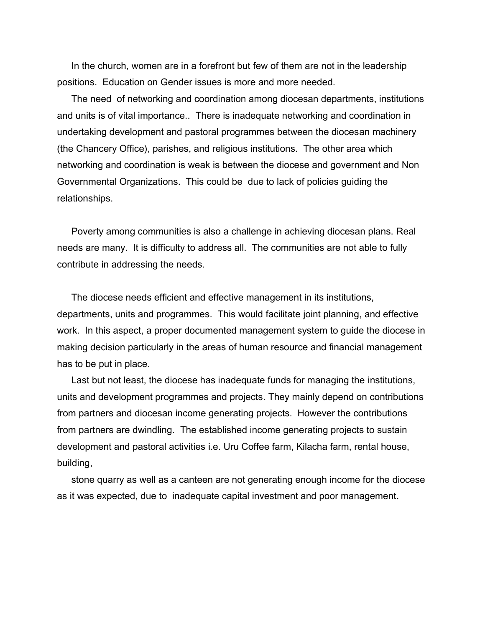In the church, women are in a forefront but few of them are not in the leadership positions. Education on Gender issues is more and more needed.

The need of networking and coordination among diocesan departments, institutions and units is of vital importance.. There is inadequate networking and coordination in undertaking development and pastoral programmes between the diocesan machinery (the Chancery Office), parishes, and religious institutions. The other area which networking and coordination is weak is between the diocese and government and Non Governmental Organizations. This could be due to lack of policies guiding the relationships.

Poverty among communities is also a challenge in achieving diocesan plans. Real needs are many. It is difficulty to address all. The communities are not able to fully contribute in addressing the needs.

The diocese needs efficient and effective management in its institutions, departments, units and programmes. This would facilitate joint planning, and effective work. In this aspect, a proper documented management system to guide the diocese in making decision particularly in the areas of human resource and financial management has to be put in place.

Last but not least, the diocese has inadequate funds for managing the institutions, units and development programmes and projects. They mainly depend on contributions from partners and diocesan income generating projects. However the contributions from partners are dwindling. The established income generating projects to sustain development and pastoral activities i.e. Uru Coffee farm, Kilacha farm, rental house, building,

stone quarry as well as a canteen are not generating enough income for the diocese as it was expected, due to inadequate capital investment and poor management.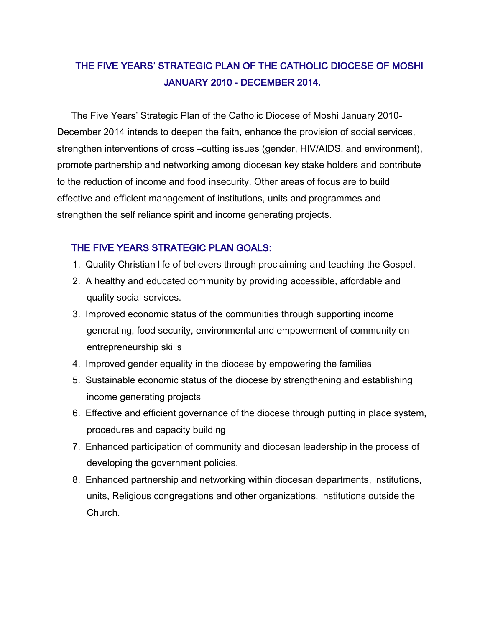# THE FIVE YEARS' STRATEGIC PLAN OF THE CATHOLIC DIOCESE OF MOSHI JANUARY 2010 - DECEMBER 2014.

The Five Years' Strategic Plan of the Catholic Diocese of Moshi January 2010- December 2014 intends to deepen the faith, enhance the provision of social services, strengthen interventions of cross –cutting issues (gender, HIV/AIDS, and environment), promote partnership and networking among diocesan key stake holders and contribute to the reduction of income and food insecurity. Other areas of focus are to build effective and efficient management of institutions, units and programmes and strengthen the self reliance spirit and income generating projects.

## THE FIVE YEARS STRATEGIC PLAN GOALS:

- 1. Quality Christian life of believers through proclaiming and teaching the Gospel.
- 2. A healthy and educated community by providing accessible, affordable and quality social services.
- 3. Improved economic status of the communities through supporting income generating, food security, environmental and empowerment of community on entrepreneurship skills
- 4. Improved gender equality in the diocese by empowering the families
- 5. Sustainable economic status of the diocese by strengthening and establishing income generating projects
- 6. Effective and efficient governance of the diocese through putting in place system, procedures and capacity building
- 7. Enhanced participation of community and diocesan leadership in the process of developing the government policies.
- 8. Enhanced partnership and networking within diocesan departments, institutions, units, Religious congregations and other organizations, institutions outside the Church.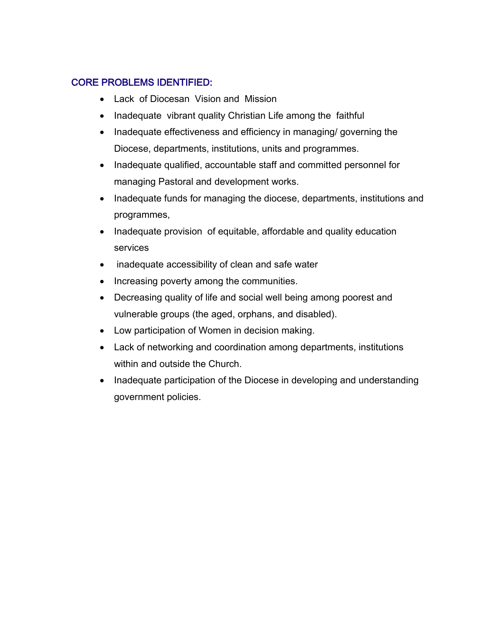## CORE PROBLEMS IDENTIFIED:

- Lack of Diocesan Vision and Mission
- Inadequate vibrant quality Christian Life among the faithful
- Inadequate effectiveness and efficiency in managing/ governing the Diocese, departments, institutions, units and programmes.
- Inadequate qualified, accountable staff and committed personnel for managing Pastoral and development works.
- Inadequate funds for managing the diocese, departments, institutions and programmes,
- Inadequate provision of equitable, affordable and quality education services
- inadequate accessibility of clean and safe water
- Increasing poverty among the communities.
- Decreasing quality of life and social well being among poorest and vulnerable groups (the aged, orphans, and disabled).
- Low participation of Women in decision making.
- Lack of networking and coordination among departments, institutions within and outside the Church.
- Inadequate participation of the Diocese in developing and understanding government policies.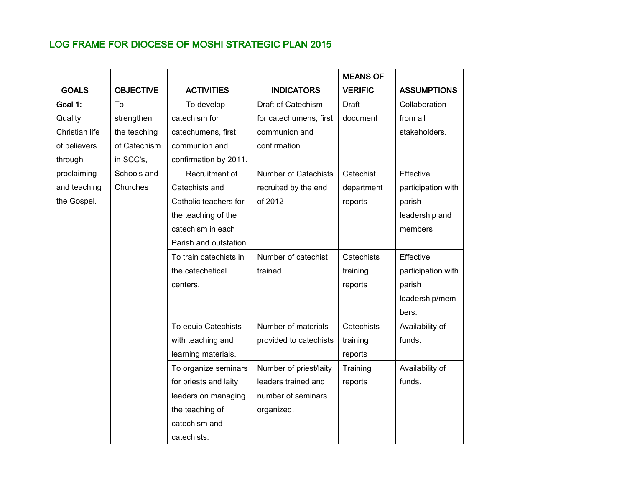# LOG FRAME FOR DIOCESE OF MOSHI STRATEGIC PLAN 2015

|                |                  |                        |                             | <b>MEANS OF</b> |                    |
|----------------|------------------|------------------------|-----------------------------|-----------------|--------------------|
| <b>GOALS</b>   | <b>OBJECTIVE</b> | <b>ACTIVITIES</b>      | <b>INDICATORS</b>           | <b>VERIFIC</b>  | <b>ASSUMPTIONS</b> |
| Goal 1:        | Tο               | To develop             | Draft of Catechism          | <b>Draft</b>    | Collaboration      |
| Quality        | strengthen       | catechism for          | for catechumens, first      | document        | from all           |
| Christian life | the teaching     | catechumens, first     | communion and               |                 | stakeholders.      |
| of believers   | of Catechism     | communion and          | confirmation                |                 |                    |
| through        | in SCC's,        | confirmation by 2011.  |                             |                 |                    |
| proclaiming    | Schools and      | Recruitment of         | <b>Number of Catechists</b> | Catechist       | Effective          |
| and teaching   | Churches         | Catechists and         | recruited by the end        | department      | participation with |
| the Gospel.    |                  | Catholic teachers for  | of 2012                     | reports         | parish             |
|                |                  | the teaching of the    |                             |                 | leadership and     |
|                |                  | catechism in each      |                             |                 | members            |
|                |                  | Parish and outstation. |                             |                 |                    |
|                |                  | To train catechists in | Number of catechist         | Catechists      | Effective          |
|                |                  | the catechetical       | trained                     | training        | participation with |
|                |                  | centers.               |                             | reports         | parish             |
|                |                  |                        |                             |                 | leadership/mem     |
|                |                  |                        |                             |                 | bers.              |
|                |                  | To equip Catechists    | Number of materials         | Catechists      | Availability of    |
|                |                  | with teaching and      | provided to catechists      | training        | funds.             |
|                |                  | learning materials.    |                             | reports         |                    |
|                |                  | To organize seminars   | Number of priest/laity      | Training        | Availability of    |
|                |                  | for priests and laity  | leaders trained and         | reports         | funds.             |
|                |                  | leaders on managing    | number of seminars          |                 |                    |
|                |                  | the teaching of        | organized.                  |                 |                    |
|                |                  | catechism and          |                             |                 |                    |
|                |                  | catechists.            |                             |                 |                    |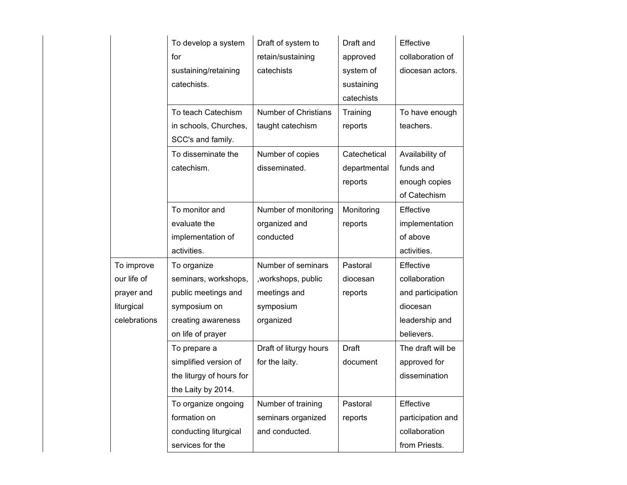|              | To develop a system      | Draft of system to          | Draft and    | Effective         |
|--------------|--------------------------|-----------------------------|--------------|-------------------|
|              | for                      | retain/sustaining           | approved     | collaboration of  |
|              | sustaining/retaining     | catechists                  | system of    | diocesan actors.  |
|              | catechists.              |                             | sustaining   |                   |
|              |                          |                             | catechists   |                   |
|              | To teach Catechism       | <b>Number of Christians</b> | Training     | To have enough    |
|              | in schools, Churches,    | taught catechism            | reports      | teachers.         |
|              | SCC's and family.        |                             |              |                   |
|              | To disseminate the       | Number of copies            | Catechetical | Availability of   |
|              | catechism.               | disseminated.               | departmental | funds and         |
|              |                          |                             | reports      | enough copies     |
|              |                          |                             |              | of Catechism      |
|              | To monitor and           | Number of monitoring        | Monitoring   | Effective         |
|              | evaluate the             | organized and               | reports      | implementation    |
|              | implementation of        | conducted                   |              | of above          |
|              | activities.              |                             |              | activities.       |
| To improve   | To organize              | Number of seminars          | Pastoral     | Effective         |
| our life of  | seminars, workshops,     | , workshops, public         | diocesan     | collaboration     |
| prayer and   | public meetings and      | meetings and                | reports      | and participation |
| liturgical   | symposium on             | symposium                   |              | diocesan          |
| celebrations | creating awareness       | organized                   |              | leadership and    |
|              | on life of prayer        |                             |              | believers.        |
|              | To prepare a             | Draft of liturgy hours      | <b>Draft</b> | The draft will be |
|              | simplified version of    | for the laity.              | document     | approved for      |
|              | the liturgy of hours for |                             |              | dissemination     |
|              | the Laity by 2014.       |                             |              |                   |
|              | To organize ongoing      | Number of training          | Pastoral     | Effective         |
|              | formation on             | seminars organized          | reports      | participation and |
|              | conducting liturgical    | and conducted.              |              | collaboration     |
|              | services for the         |                             |              | from Priests.     |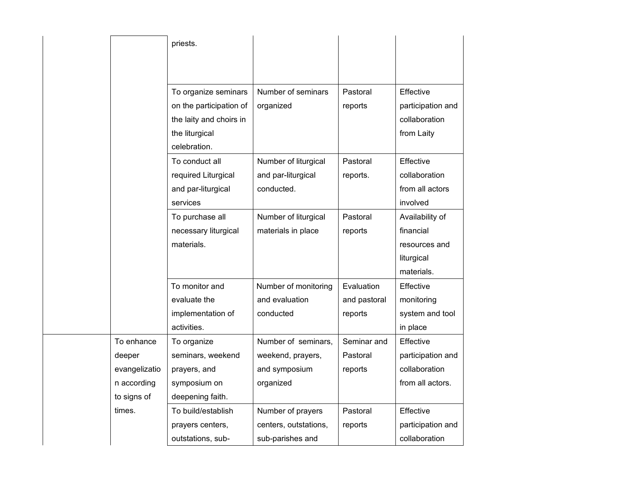|               | priests.                |                       |              |                   |
|---------------|-------------------------|-----------------------|--------------|-------------------|
|               |                         |                       |              |                   |
|               |                         |                       |              |                   |
|               | To organize seminars    | Number of seminars    | Pastoral     | Effective         |
|               | on the participation of | organized             | reports      | participation and |
|               | the laity and choirs in |                       |              | collaboration     |
|               | the liturgical          |                       |              | from Laity        |
|               | celebration.            |                       |              |                   |
|               | To conduct all          | Number of liturgical  | Pastoral     | Effective         |
|               | required Liturgical     | and par-liturgical    | reports.     | collaboration     |
|               | and par-liturgical      | conducted.            |              | from all actors   |
|               | services                |                       |              | involved          |
|               | To purchase all         | Number of liturgical  | Pastoral     | Availability of   |
|               | necessary liturgical    | materials in place    | reports      | financial         |
|               | materials.              |                       |              | resources and     |
|               |                         |                       |              | liturgical        |
|               |                         |                       |              | materials.        |
|               | To monitor and          | Number of monitoring  | Evaluation   | Effective         |
|               | evaluate the            | and evaluation        | and pastoral | monitoring        |
|               | implementation of       | conducted             | reports      | system and tool   |
|               | activities.             |                       |              | in place          |
| To enhance    | To organize             | Number of seminars,   | Seminar and  | Effective         |
| deeper        | seminars, weekend       | weekend, prayers,     | Pastoral     | participation and |
| evangelizatio | prayers, and            | and symposium         | reports      | collaboration     |
| n according   | symposium on            | organized             |              | from all actors.  |
| to signs of   | deepening faith.        |                       |              |                   |
| times.        | To build/establish      | Number of prayers     | Pastoral     | Effective         |
|               | prayers centers,        | centers, outstations, | reports      | participation and |
|               | outstations, sub-       | sub-parishes and      |              | collaboration     |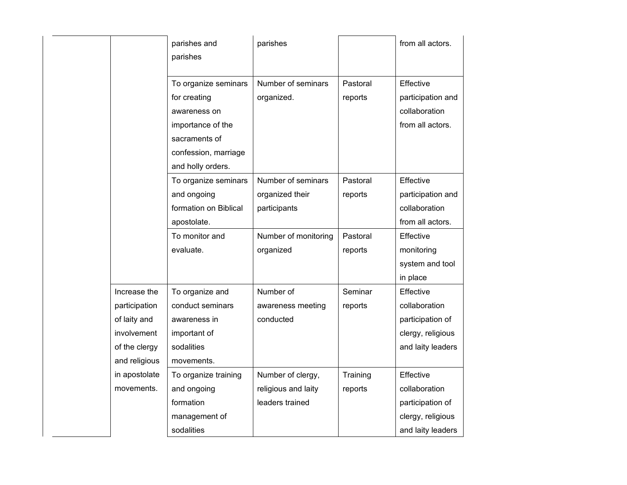|               | parishes and<br>parishes                                                  | parishes                         |                     | from all actors.                                                    |
|---------------|---------------------------------------------------------------------------|----------------------------------|---------------------|---------------------------------------------------------------------|
|               | To organize seminars<br>for creating<br>awareness on<br>importance of the | Number of seminars<br>organized. | Pastoral<br>reports | Effective<br>participation and<br>collaboration<br>from all actors. |
|               | sacraments of<br>confession, marriage<br>and holly orders.                |                                  |                     |                                                                     |
|               | To organize seminars                                                      | Number of seminars               | Pastoral            | Effective                                                           |
|               | and ongoing                                                               | organized their                  | reports             | participation and                                                   |
|               | formation on Biblical                                                     | participants                     |                     | collaboration                                                       |
|               | apostolate.                                                               |                                  |                     | from all actors.                                                    |
|               | To monitor and                                                            | Number of monitoring             | Pastoral            | Effective                                                           |
|               | evaluate.                                                                 | organized                        | reports             | monitoring                                                          |
|               |                                                                           |                                  |                     | system and tool                                                     |
|               |                                                                           |                                  |                     | in place                                                            |
| Increase the  | To organize and                                                           | Number of                        | Seminar             | Effective                                                           |
| participation | conduct seminars                                                          | awareness meeting                | reports             | collaboration                                                       |
| of laity and  | awareness in                                                              | conducted                        |                     | participation of                                                    |
| involvement   | important of                                                              |                                  |                     | clergy, religious                                                   |
| of the clergy | sodalities                                                                |                                  |                     | and laity leaders                                                   |
| and religious | movements.                                                                |                                  |                     |                                                                     |
| in apostolate | To organize training                                                      | Number of clergy,                | Training            | Effective                                                           |
| movements.    | and ongoing                                                               | religious and laity              | reports             | collaboration                                                       |
|               | formation                                                                 | leaders trained                  |                     | participation of                                                    |
|               | management of                                                             |                                  |                     | clergy, religious                                                   |
|               | sodalities                                                                |                                  |                     | and laity leaders                                                   |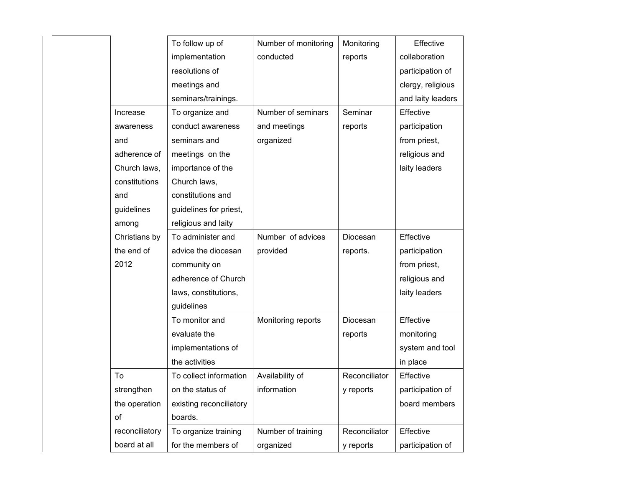|                | Number of monitoring<br>To follow up of |                    | Monitoring    | Effective         |
|----------------|-----------------------------------------|--------------------|---------------|-------------------|
|                | implementation                          | conducted          | reports       | collaboration     |
|                | resolutions of                          |                    |               | participation of  |
|                | meetings and                            |                    |               | clergy, religious |
|                | seminars/trainings.                     |                    |               | and laity leaders |
| Increase       | To organize and                         | Number of seminars | Seminar       | Effective         |
| awareness      | conduct awareness                       | and meetings       | reports       | participation     |
| and            | seminars and                            | organized          |               | from priest,      |
| adherence of   | meetings on the                         |                    |               | religious and     |
| Church laws,   | importance of the                       |                    |               | laity leaders     |
| constitutions  | Church laws,                            |                    |               |                   |
| and            | constitutions and                       |                    |               |                   |
| guidelines     | guidelines for priest,                  |                    |               |                   |
| among          | religious and laity                     |                    |               |                   |
| Christians by  | To administer and                       | Number of advices  | Diocesan      | Effective         |
| the end of     | advice the diocesan                     | provided           | reports.      | participation     |
| 2012           | community on                            |                    |               | from priest,      |
|                | adherence of Church                     |                    |               | religious and     |
|                | laws, constitutions,                    |                    |               | laity leaders     |
|                | guidelines                              |                    |               |                   |
|                | To monitor and                          | Monitoring reports | Diocesan      | Effective         |
|                | evaluate the                            |                    | reports       | monitoring        |
|                | implementations of                      |                    |               | system and tool   |
|                | the activities                          |                    |               | in place          |
| To             | To collect information                  | Availability of    | Reconciliator | Effective         |
| strengthen     | on the status of                        | information        | y reports     | participation of  |
| the operation  | existing reconciliatory                 |                    |               | board members     |
| of             | boards.                                 |                    |               |                   |
| reconciliatory | To organize training                    | Number of training | Reconciliator | Effective         |
| board at all   | for the members of                      | organized          | y reports     | participation of  |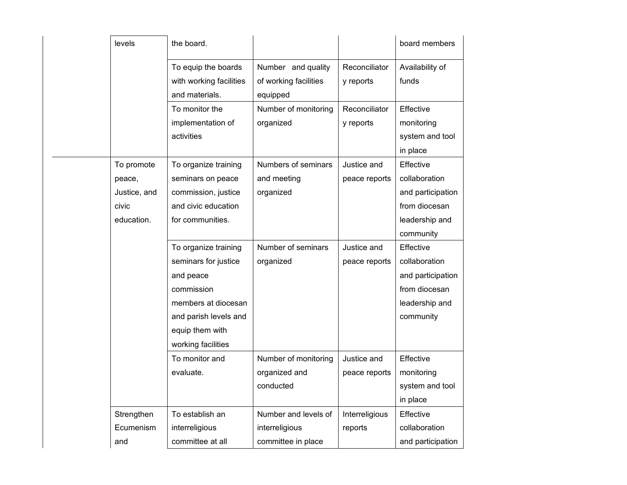| levels       | the board.              |                       |                | board members     |
|--------------|-------------------------|-----------------------|----------------|-------------------|
|              | To equip the boards     | Number and quality    | Reconciliator  | Availability of   |
|              | with working facilities | of working facilities | y reports      | funds             |
|              | and materials.          | equipped              |                |                   |
|              | To monitor the          | Number of monitoring  | Reconciliator  | Effective         |
|              | implementation of       | organized             | y reports      | monitoring        |
|              | activities              |                       |                | system and tool   |
|              |                         |                       |                | in place          |
| To promote   | To organize training    | Numbers of seminars   | Justice and    | Effective         |
| peace,       | seminars on peace       | and meeting           | peace reports  | collaboration     |
| Justice, and | commission, justice     | organized             |                | and participation |
| civic        | and civic education     |                       |                | from diocesan     |
| education.   | for communities.        |                       |                | leadership and    |
|              |                         |                       |                | community         |
|              | To organize training    | Number of seminars    | Justice and    | Effective         |
|              | seminars for justice    | organized             | peace reports  | collaboration     |
|              | and peace               |                       |                | and participation |
|              | commission              |                       |                | from diocesan     |
|              | members at diocesan     |                       |                | leadership and    |
|              | and parish levels and   |                       |                | community         |
|              | equip them with         |                       |                |                   |
|              | working facilities      |                       |                |                   |
|              | To monitor and          | Number of monitoring  | Justice and    | Effective         |
|              | evaluate.               | organized and         | peace reports  | monitoring        |
|              |                         | conducted             |                | system and tool   |
|              |                         |                       |                | in place          |
| Strengthen   | To establish an         | Number and levels of  | Interreligious | Effective         |
| Ecumenism    | interreligious          | interreligious        | reports        | collaboration     |
| and          | committee at all        | committee in place    |                | and participation |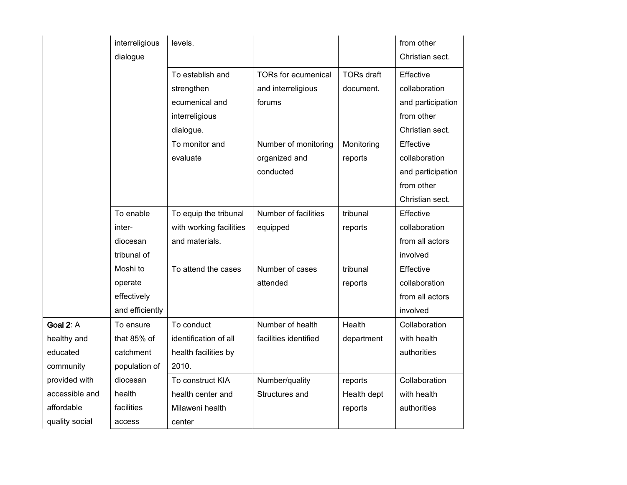|                | interreligious<br>dialogue | levels.                 |                            |                   | from other<br>Christian sect. |
|----------------|----------------------------|-------------------------|----------------------------|-------------------|-------------------------------|
|                |                            | To establish and        | <b>TORs for ecumenical</b> | <b>TORs draft</b> | Effective                     |
|                |                            | strengthen              | and interreligious         | document.         | collaboration                 |
|                |                            | ecumenical and          | forums                     |                   | and participation             |
|                |                            | interreligious          |                            |                   | from other                    |
|                |                            | dialogue.               |                            |                   | Christian sect.               |
|                |                            | To monitor and          | Number of monitoring       | Monitoring        | Effective                     |
|                |                            | evaluate                | organized and              | reports           | collaboration                 |
|                |                            |                         | conducted                  |                   | and participation             |
|                |                            |                         |                            |                   | from other                    |
|                |                            |                         |                            |                   | Christian sect.               |
|                | To enable                  | To equip the tribunal   | Number of facilities       | tribunal          | Effective                     |
|                | inter-                     | with working facilities | equipped                   | reports           | collaboration                 |
|                | diocesan                   | and materials.          |                            |                   | from all actors               |
|                | tribunal of                |                         |                            |                   | involved                      |
|                | Moshi to                   | To attend the cases     | Number of cases            | tribunal          | Effective                     |
|                | operate                    |                         | attended                   | reports           | collaboration                 |
|                | effectively                |                         |                            |                   | from all actors               |
|                | and efficiently            |                         |                            |                   | involved                      |
| Goal 2: A      | To ensure                  | To conduct              | Number of health           | Health            | Collaboration                 |
| healthy and    | that 85% of                | identification of all   | facilities identified      | department        | with health                   |
| educated       | catchment                  | health facilities by    |                            |                   | authorities                   |
| community      | population of              | 2010.                   |                            |                   |                               |
| provided with  | diocesan                   | To construct KIA        | Number/quality             | reports           | Collaboration                 |
| accessible and | health                     | health center and       | Structures and             | Health dept       | with health                   |
| affordable     | facilities                 | Milaweni health         |                            | reports           | authorities                   |
| quality social | access                     | center                  |                            |                   |                               |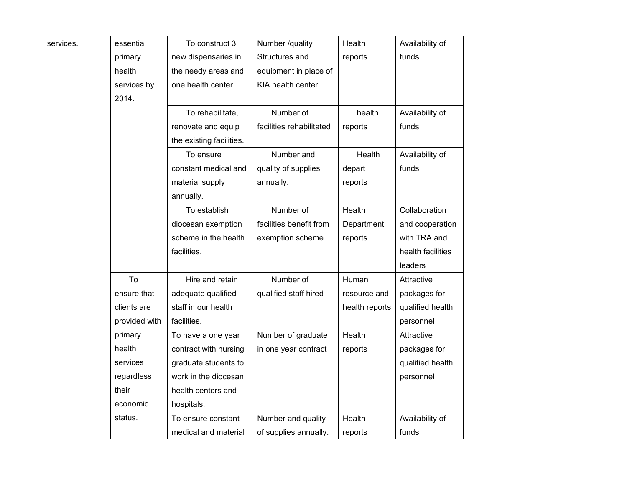| services. | essential     | To construct 3           | Number /quality          | Health         | Availability of   |
|-----------|---------------|--------------------------|--------------------------|----------------|-------------------|
|           | primary       | new dispensaries in      | Structures and           | reports        | funds             |
|           | health        | the needy areas and      | equipment in place of    |                |                   |
|           | services by   | one health center.       | KIA health center        |                |                   |
|           | 2014.         |                          |                          |                |                   |
|           |               | To rehabilitate,         | Number of                | health         | Availability of   |
|           |               | renovate and equip       | facilities rehabilitated | reports        | funds             |
|           |               | the existing facilities. |                          |                |                   |
|           |               | To ensure                | Number and               | Health         | Availability of   |
|           |               | constant medical and     | quality of supplies      | depart         | funds             |
|           |               | material supply          | annually.                | reports        |                   |
|           |               | annually.                |                          |                |                   |
|           |               | To establish             | Number of                | Health         | Collaboration     |
|           |               | diocesan exemption       | facilities benefit from  | Department     | and cooperation   |
|           |               | scheme in the health     | exemption scheme.        | reports        | with TRA and      |
|           |               | facilities.              |                          |                | health facilities |
|           |               |                          |                          |                | leaders           |
|           | To            | Hire and retain          | Number of                | Human          | Attractive        |
|           | ensure that   | adequate qualified       | qualified staff hired    | resource and   | packages for      |
|           | clients are   | staff in our health      |                          | health reports | qualified health  |
|           | provided with | facilities.              |                          |                | personnel         |
|           | primary       | To have a one year       | Number of graduate       | Health         | Attractive        |
|           | health        | contract with nursing    | in one year contract     | reports        | packages for      |
|           | services      | graduate students to     |                          |                | qualified health  |
|           | regardless    | work in the diocesan     |                          |                | personnel         |
|           | their         | health centers and       |                          |                |                   |
|           | economic      | hospitals.               |                          |                |                   |
|           | status.       | To ensure constant       | Number and quality       | Health         | Availability of   |
|           |               | medical and material     | of supplies annually.    | reports        | funds             |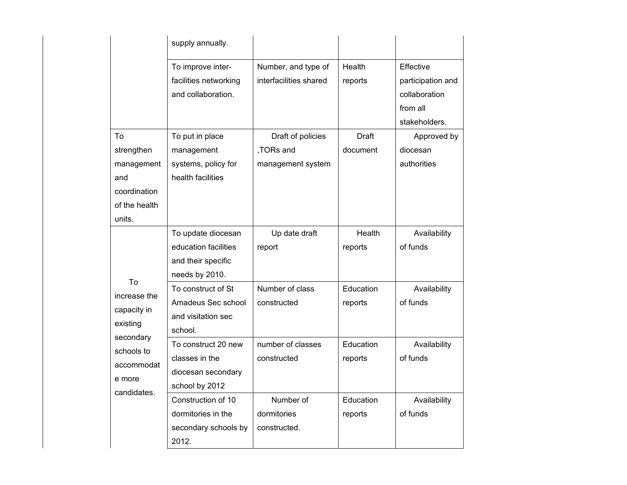|                                                                                  | supply annually.                                                                                                                                                |                                                                                                      |                                           |                                                                                                                        |
|----------------------------------------------------------------------------------|-----------------------------------------------------------------------------------------------------------------------------------------------------------------|------------------------------------------------------------------------------------------------------|-------------------------------------------|------------------------------------------------------------------------------------------------------------------------|
| To<br>strengthen<br>management<br>and<br>coordination<br>of the health<br>units. | To improve inter-<br>facilities networking<br>and collaboration.<br>To put in place<br>management<br>systems, policy for<br>health facilities                   | Number, and type of<br>interfacilities shared<br>Draft of policies<br>,TORs and<br>management system | Health<br>reports<br>Draft<br>document    | Effective<br>participation and<br>collaboration<br>from all<br>stakeholders.<br>Approved by<br>diocesan<br>authorities |
| To<br>increase the<br>capacity in<br>existing                                    | To update diocesan<br>education facilities<br>and their specific<br>needs by 2010.<br>To construct of St<br>Amadeus Sec school<br>and visitation sec<br>school. | Up date draft<br>report<br>Number of class<br>constructed                                            | Health<br>reports<br>Education<br>reports | Availability<br>of funds<br>Availability<br>of funds                                                                   |
| secondary<br>schools to<br>accommodat<br>e more<br>candidates.                   | To construct 20 new<br>classes in the<br>diocesan secondary<br>school by 2012                                                                                   | number of classes<br>constructed                                                                     | Education<br>reports                      | Availability<br>of funds                                                                                               |
|                                                                                  | Construction of 10<br>dormitories in the<br>secondary schools by<br>2012.                                                                                       | Number of<br>dormitories<br>constructed.                                                             | Education<br>reports                      | Availability<br>of funds                                                                                               |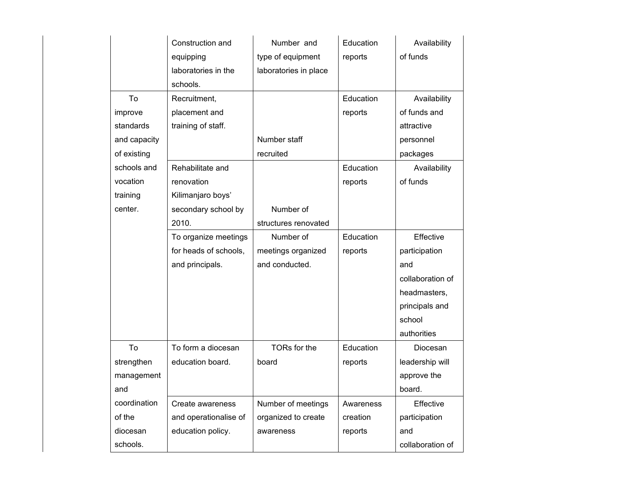|              | Construction and      | Number and            | Education | Availability     |
|--------------|-----------------------|-----------------------|-----------|------------------|
|              | equipping             | type of equipment     | reports   | of funds         |
|              | laboratories in the   | laboratories in place |           |                  |
|              | schools.              |                       |           |                  |
| To           | Recruitment,          |                       | Education | Availability     |
| improve      | placement and         |                       | reports   | of funds and     |
| standards    | training of staff.    |                       |           | attractive       |
| and capacity |                       | Number staff          |           | personnel        |
| of existing  |                       | recruited             |           | packages         |
| schools and  | Rehabilitate and      |                       | Education | Availability     |
| vocation     | renovation            |                       | reports   | of funds         |
| training     | Kilimanjaro boys'     |                       |           |                  |
| center.      | secondary school by   | Number of             |           |                  |
|              | 2010.                 | structures renovated  |           |                  |
|              | To organize meetings  | Number of             | Education | Effective        |
|              | for heads of schools, | meetings organized    | reports   | participation    |
|              | and principals.       | and conducted.        |           | and              |
|              |                       |                       |           | collaboration of |
|              |                       |                       |           | headmasters,     |
|              |                       |                       |           | principals and   |
|              |                       |                       |           | school           |
|              |                       |                       |           | authorities      |
| To           | To form a diocesan    | TORs for the          | Education | Diocesan         |
| strengthen   | education board.      | board                 | reports   | leadership will  |
| management   |                       |                       |           | approve the      |
| and          |                       |                       |           | board.           |
| coordination | Create awareness      | Number of meetings    | Awareness | Effective        |
| of the       | and operationalise of | organized to create   | creation  | participation    |
| diocesan     | education policy.     | awareness             | reports   | and              |
| schools.     |                       |                       |           | collaboration of |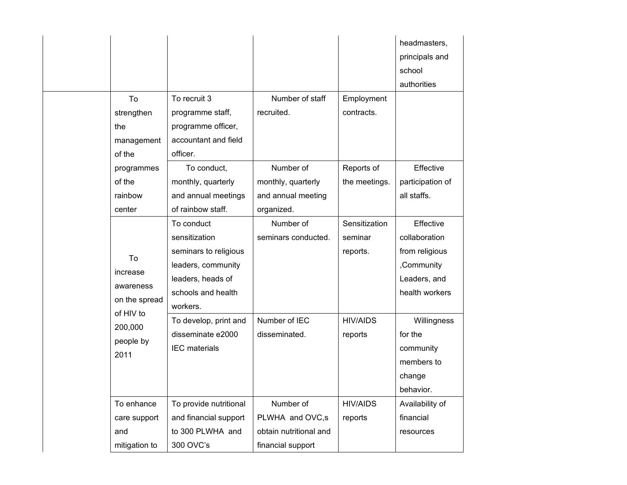|  |                            |                        |                        |                 | headmasters,     |
|--|----------------------------|------------------------|------------------------|-----------------|------------------|
|  |                            |                        |                        |                 | principals and   |
|  |                            |                        |                        |                 | school           |
|  |                            |                        |                        |                 | authorities      |
|  | To                         | To recruit 3           | Number of staff        | Employment      |                  |
|  | strengthen                 | programme staff,       | recruited.             | contracts.      |                  |
|  | the                        | programme officer,     |                        |                 |                  |
|  | management                 | accountant and field   |                        |                 |                  |
|  | of the                     | officer.               |                        |                 |                  |
|  | programmes                 | To conduct,            | Number of              | Reports of      | Effective        |
|  | of the                     | monthly, quarterly     | monthly, quarterly     | the meetings.   | participation of |
|  | rainbow                    | and annual meetings    | and annual meeting     |                 | all staffs.      |
|  | center                     | of rainbow staff.      | organized.             |                 |                  |
|  |                            | To conduct             | Number of              | Sensitization   | Effective        |
|  |                            | sensitization          | seminars conducted.    | seminar         | collaboration    |
|  | To                         | seminars to religious  |                        | reports.        | from religious   |
|  | increase                   | leaders, community     |                        |                 | ,Community       |
|  | awareness                  | leaders, heads of      |                        |                 | Leaders, and     |
|  |                            | schools and health     |                        |                 | health workers   |
|  | on the spread<br>of HIV to | workers.               |                        |                 |                  |
|  | 200,000                    | To develop, print and  | Number of IEC          | <b>HIV/AIDS</b> | Willingness      |
|  | people by                  | disseminate e2000      | disseminated.          | reports         | for the          |
|  | 2011                       | <b>IEC</b> materials   |                        |                 | community        |
|  |                            |                        |                        |                 | members to       |
|  |                            |                        |                        |                 | change           |
|  |                            |                        |                        |                 | behavior.        |
|  | To enhance                 | To provide nutritional | Number of              | <b>HIV/AIDS</b> | Availability of  |
|  | care support               | and financial support  | PLWHA and OVC,s        | reports         | financial        |
|  | and                        | to 300 PLWHA and       | obtain nutritional and |                 | resources        |
|  | mitigation to              | 300 OVC's              | financial support      |                 |                  |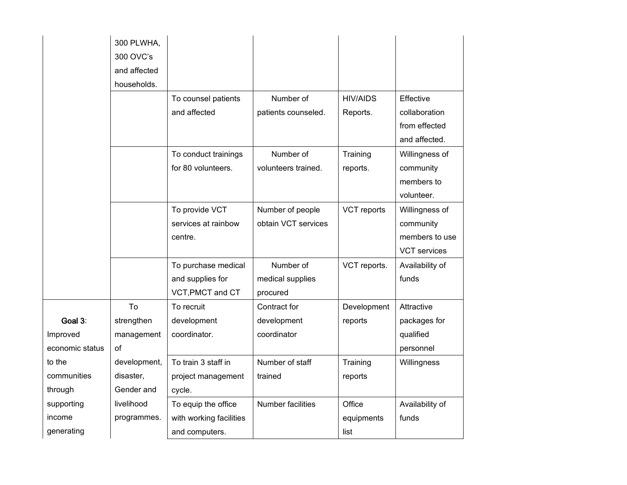|                 | 300 PLWHA,   |                         |                          |                 |                     |
|-----------------|--------------|-------------------------|--------------------------|-----------------|---------------------|
|                 | 300 OVC's    |                         |                          |                 |                     |
|                 | and affected |                         |                          |                 |                     |
|                 | households.  |                         |                          |                 |                     |
|                 |              | To counsel patients     | Number of                | <b>HIV/AIDS</b> | Effective           |
|                 |              | and affected            | patients counseled.      | Reports.        | collaboration       |
|                 |              |                         |                          |                 | from effected       |
|                 |              |                         |                          |                 | and affected.       |
|                 |              |                         |                          |                 |                     |
|                 |              | To conduct trainings    | Number of                | Training        | Willingness of      |
|                 |              | for 80 volunteers.      | volunteers trained.      | reports.        | community           |
|                 |              |                         |                          |                 | members to          |
|                 |              |                         |                          |                 | volunteer.          |
|                 |              | To provide VCT          | Number of people         | VCT reports     | Willingness of      |
|                 |              | services at rainbow     | obtain VCT services      |                 | community           |
|                 |              | centre.                 |                          |                 | members to use      |
|                 |              |                         |                          |                 | <b>VCT</b> services |
|                 |              | To purchase medical     | Number of                | VCT reports.    | Availability of     |
|                 |              | and supplies for        | medical supplies         |                 | funds               |
|                 |              | VCT, PMCT and CT        | procured                 |                 |                     |
|                 | To           | To recruit              | Contract for             | Development     | Attractive          |
| Goal 3:         | strengthen   | development             | development              | reports         | packages for        |
| Improved        | management   | coordinator.            | coordinator              |                 | qualified           |
| economic status | of           |                         |                          |                 | personnel           |
| to the          | development, | To train 3 staff in     | Number of staff          | Training        | Willingness         |
| communities     | disaster,    | project management      | trained                  | reports         |                     |
| through         | Gender and   | cycle.                  |                          |                 |                     |
| supporting      | livelihood   | To equip the office     | <b>Number facilities</b> | Office          | Availability of     |
| income          | programmes.  | with working facilities |                          | equipments      | funds               |
| generating      |              | and computers.          |                          | list            |                     |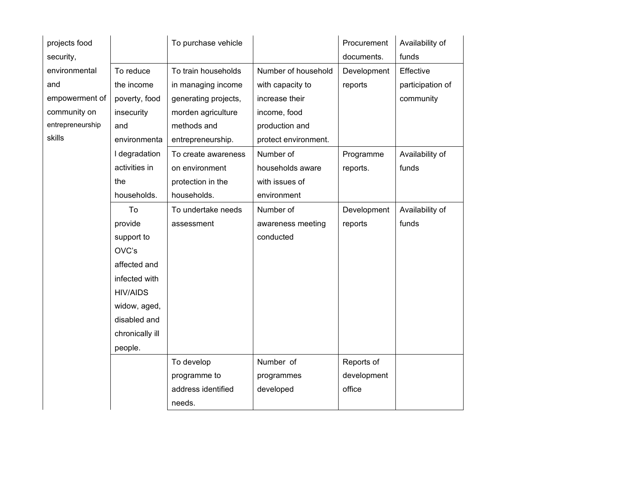| projects food    |                 | To purchase vehicle  |                      | Procurement | Availability of  |
|------------------|-----------------|----------------------|----------------------|-------------|------------------|
| security,        |                 |                      |                      | documents.  | funds            |
| environmental    | To reduce       | To train households  | Number of household  | Development | Effective        |
| and              | the income      | in managing income   | with capacity to     | reports     | participation of |
| empowerment of   | poverty, food   | generating projects, | increase their       |             | community        |
| community on     | insecurity      | morden agriculture   | income, food         |             |                  |
| entrepreneurship | and             | methods and          | production and       |             |                  |
| skills           | environmenta    | entrepreneurship.    | protect environment. |             |                  |
|                  | I degradation   | To create awareness  | Number of            | Programme   | Availability of  |
|                  | activities in   | on environment       | households aware     | reports.    | funds            |
|                  | the             | protection in the    | with issues of       |             |                  |
|                  | households.     | households.          | environment          |             |                  |
|                  | To              | To undertake needs   | Number of            | Development | Availability of  |
|                  | provide         | assessment           | awareness meeting    | reports     | funds            |
|                  | support to      |                      | conducted            |             |                  |
|                  | OVC's           |                      |                      |             |                  |
|                  | affected and    |                      |                      |             |                  |
|                  | infected with   |                      |                      |             |                  |
|                  | <b>HIV/AIDS</b> |                      |                      |             |                  |
|                  | widow, aged,    |                      |                      |             |                  |
|                  | disabled and    |                      |                      |             |                  |
|                  | chronically ill |                      |                      |             |                  |
|                  | people.         |                      |                      |             |                  |
|                  |                 | To develop           | Number of            | Reports of  |                  |
|                  |                 | programme to         | programmes           | development |                  |
|                  |                 | address identified   | developed            | office      |                  |
|                  |                 | needs.               |                      |             |                  |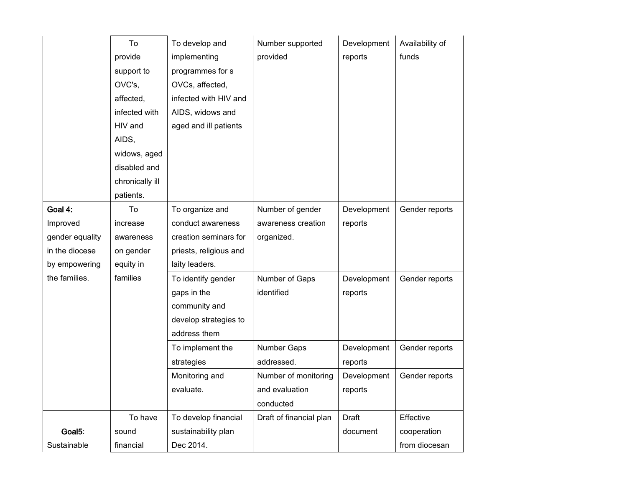|                 | To<br>provide<br>support to<br>OVC's,<br>affected,<br>infected with<br>HIV and<br>AIDS,<br>widows, aged<br>disabled and<br>chronically ill | To develop and<br>implementing<br>programmes for s<br>OVCs, affected,<br>infected with HIV and<br>AIDS, widows and<br>aged and ill patients | Number supported<br>provided | Development<br>reports | Availability of<br>funds |
|-----------------|--------------------------------------------------------------------------------------------------------------------------------------------|---------------------------------------------------------------------------------------------------------------------------------------------|------------------------------|------------------------|--------------------------|
|                 | patients.                                                                                                                                  |                                                                                                                                             |                              |                        |                          |
| Goal 4:         | To                                                                                                                                         | To organize and                                                                                                                             | Number of gender             | Development            | Gender reports           |
| Improved        | increase                                                                                                                                   | conduct awareness                                                                                                                           | awareness creation           | reports                |                          |
| gender equality | awareness                                                                                                                                  | creation seminars for                                                                                                                       | organized.                   |                        |                          |
| in the diocese  | on gender                                                                                                                                  | priests, religious and                                                                                                                      |                              |                        |                          |
| by empowering   | equity in                                                                                                                                  | laity leaders.                                                                                                                              |                              |                        |                          |
| the families.   | families                                                                                                                                   | To identify gender                                                                                                                          | Number of Gaps               | Development            | Gender reports           |
|                 |                                                                                                                                            | gaps in the                                                                                                                                 | identified                   | reports                |                          |
|                 |                                                                                                                                            | community and                                                                                                                               |                              |                        |                          |
|                 |                                                                                                                                            | develop strategies to                                                                                                                       |                              |                        |                          |
|                 |                                                                                                                                            | address them                                                                                                                                |                              |                        |                          |
|                 |                                                                                                                                            | To implement the                                                                                                                            | Number Gaps                  | Development            | Gender reports           |
|                 |                                                                                                                                            | strategies                                                                                                                                  | addressed.                   | reports                |                          |
|                 |                                                                                                                                            | Monitoring and                                                                                                                              | Number of monitoring         | Development            | Gender reports           |
|                 |                                                                                                                                            | evaluate.                                                                                                                                   | and evaluation               | reports                |                          |
|                 |                                                                                                                                            |                                                                                                                                             | conducted                    |                        |                          |
|                 | To have                                                                                                                                    | To develop financial                                                                                                                        | Draft of financial plan      | Draft                  | Effective                |
| Goal5:          | sound                                                                                                                                      | sustainability plan                                                                                                                         |                              | document               | cooperation              |
| Sustainable     | financial                                                                                                                                  | Dec 2014.                                                                                                                                   |                              |                        | from diocesan            |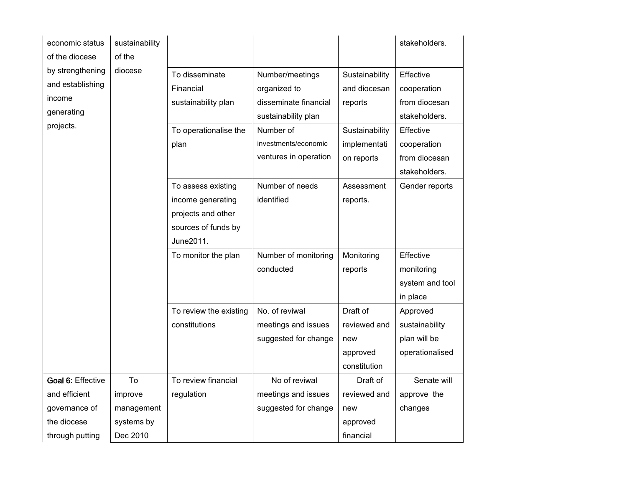| economic status                                                           | sustainability |                                                                                     |                                                                                                                                               |                                                                                           | stakeholders.                                                                                           |
|---------------------------------------------------------------------------|----------------|-------------------------------------------------------------------------------------|-----------------------------------------------------------------------------------------------------------------------------------------------|-------------------------------------------------------------------------------------------|---------------------------------------------------------------------------------------------------------|
| of the diocese                                                            | of the         |                                                                                     |                                                                                                                                               |                                                                                           |                                                                                                         |
| by strengthening<br>and establishing<br>income<br>generating<br>projects. | diocese        | To disseminate<br>Financial<br>sustainability plan<br>To operationalise the<br>plan | Number/meetings<br>organized to<br>disseminate financial<br>sustainability plan<br>Number of<br>investments/economic<br>ventures in operation | Sustainability<br>and diocesan<br>reports<br>Sustainability<br>implementati<br>on reports | Effective<br>cooperation<br>from diocesan<br>stakeholders.<br>Effective<br>cooperation<br>from diocesan |
|                                                                           |                |                                                                                     |                                                                                                                                               |                                                                                           | stakeholders.                                                                                           |
|                                                                           |                | To assess existing                                                                  | Number of needs<br>identified                                                                                                                 | Assessment                                                                                | Gender reports                                                                                          |
|                                                                           |                | income generating                                                                   |                                                                                                                                               | reports.                                                                                  |                                                                                                         |
|                                                                           |                | projects and other<br>sources of funds by                                           |                                                                                                                                               |                                                                                           |                                                                                                         |
|                                                                           |                | June2011.                                                                           |                                                                                                                                               |                                                                                           |                                                                                                         |
|                                                                           |                | To monitor the plan                                                                 | Number of monitoring                                                                                                                          | Monitoring                                                                                | Effective                                                                                               |
|                                                                           |                |                                                                                     | conducted                                                                                                                                     | reports                                                                                   | monitoring                                                                                              |
|                                                                           |                |                                                                                     |                                                                                                                                               |                                                                                           | system and tool                                                                                         |
|                                                                           |                |                                                                                     |                                                                                                                                               |                                                                                           | in place                                                                                                |
|                                                                           |                | To review the existing                                                              | No. of reviwal                                                                                                                                | Draft of                                                                                  | Approved                                                                                                |
|                                                                           |                | constitutions                                                                       | meetings and issues                                                                                                                           | reviewed and                                                                              | sustainability                                                                                          |
|                                                                           |                |                                                                                     | suggested for change                                                                                                                          | new                                                                                       | plan will be                                                                                            |
|                                                                           |                |                                                                                     |                                                                                                                                               | approved                                                                                  | operationalised                                                                                         |
|                                                                           |                |                                                                                     |                                                                                                                                               | constitution                                                                              |                                                                                                         |
| Goal 6: Effective                                                         | To             | To review financial                                                                 | No of reviwal                                                                                                                                 | Draft of                                                                                  | Senate will                                                                                             |
| and efficient                                                             | improve        | regulation                                                                          | meetings and issues                                                                                                                           | reviewed and                                                                              | approve the                                                                                             |
| governance of                                                             | management     |                                                                                     | suggested for change                                                                                                                          | new                                                                                       | changes                                                                                                 |
| the diocese                                                               | systems by     |                                                                                     |                                                                                                                                               | approved                                                                                  |                                                                                                         |
| through putting                                                           | Dec 2010       |                                                                                     |                                                                                                                                               | financial                                                                                 |                                                                                                         |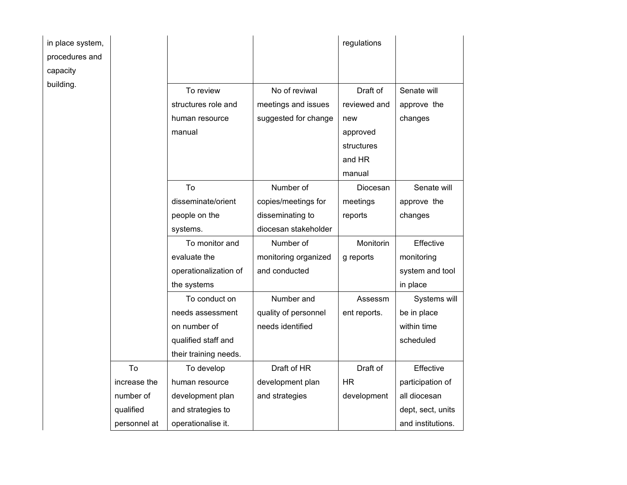| in place system, |              |                                  |                                      | regulations              |                            |
|------------------|--------------|----------------------------------|--------------------------------------|--------------------------|----------------------------|
| procedures and   |              |                                  |                                      |                          |                            |
| capacity         |              |                                  |                                      |                          |                            |
| building.        |              | To review<br>structures role and | No of reviwal<br>meetings and issues | Draft of<br>reviewed and | Senate will<br>approve the |
|                  |              | human resource                   | suggested for change                 | new                      | changes                    |
|                  |              | manual                           |                                      | approved                 |                            |
|                  |              |                                  |                                      | structures               |                            |
|                  |              |                                  |                                      | and HR                   |                            |
|                  |              |                                  |                                      | manual                   |                            |
|                  |              | To                               | Number of                            | Diocesan                 | Senate will                |
|                  |              | disseminate/orient               | copies/meetings for                  | meetings                 | approve the                |
|                  |              | people on the                    | disseminating to                     | reports                  | changes                    |
|                  |              | systems.                         | diocesan stakeholder                 |                          |                            |
|                  |              | To monitor and                   | Number of                            | Monitorin                | Effective                  |
|                  |              | evaluate the                     | monitoring organized                 | g reports                | monitoring                 |
|                  |              | operationalization of            | and conducted                        |                          | system and tool            |
|                  |              | the systems                      |                                      |                          | in place                   |
|                  |              | To conduct on                    | Number and                           | Assessm                  | Systems will               |
|                  |              | needs assessment                 | quality of personnel                 | ent reports.             | be in place                |
|                  |              | on number of                     | needs identified                     |                          | within time                |
|                  |              | qualified staff and              |                                      |                          | scheduled                  |
|                  |              | their training needs.            |                                      |                          |                            |
|                  | To           | To develop                       | Draft of HR                          | Draft of                 | Effective                  |
|                  | increase the | human resource                   | development plan                     | <b>HR</b>                | participation of           |
|                  | number of    | development plan                 | and strategies                       | development              | all diocesan               |
|                  | qualified    | and strategies to                |                                      |                          | dept, sect, units          |
|                  | personnel at | operationalise it.               |                                      |                          | and institutions.          |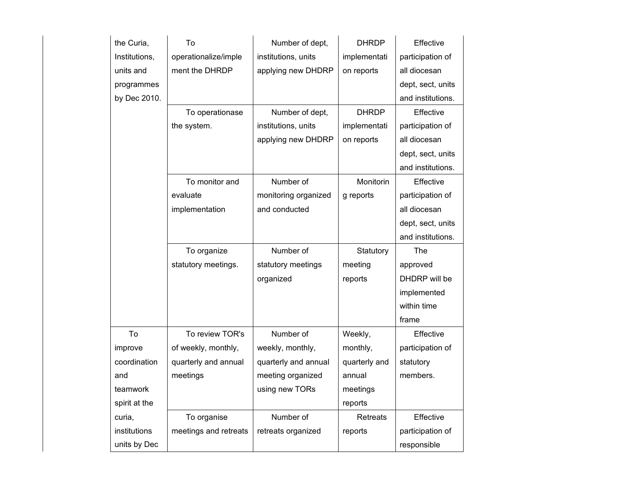| the Curia,    | To                    | Number of dept,      | <b>DHRDP</b>    | Effective         |
|---------------|-----------------------|----------------------|-----------------|-------------------|
| Institutions, | operationalize/imple  | institutions, units  | implementati    | participation of  |
| units and     | ment the DHRDP        | applying new DHDRP   | on reports      | all diocesan      |
| programmes    |                       |                      |                 | dept, sect, units |
| by Dec 2010.  |                       |                      |                 | and institutions. |
|               | To operationase       | Number of dept,      | <b>DHRDP</b>    | Effective         |
|               | the system.           | institutions, units  | implementati    | participation of  |
|               |                       | applying new DHDRP   | on reports      | all diocesan      |
|               |                       |                      |                 | dept, sect, units |
|               |                       |                      |                 | and institutions. |
|               | To monitor and        | Number of            | Monitorin       | Effective         |
|               | evaluate              | monitoring organized | g reports       | participation of  |
|               | implementation        | and conducted        |                 | all diocesan      |
|               |                       |                      |                 | dept, sect, units |
|               |                       |                      |                 | and institutions. |
|               |                       |                      |                 |                   |
|               | To organize           | Number of            | Statutory       | The               |
|               | statutory meetings.   | statutory meetings   | meeting         | approved          |
|               |                       | organized            | reports         | DHDRP will be     |
|               |                       |                      |                 | implemented       |
|               |                       |                      |                 | within time       |
|               |                       |                      |                 | frame             |
| To            | To review TOR's       | Number of            | Weekly,         | Effective         |
| improve       | of weekly, monthly,   | weekly, monthly,     | monthly,        | participation of  |
| coordination  | quarterly and annual  | quarterly and annual | quarterly and   | statutory         |
| and           | meetings              | meeting organized    | annual          | members.          |
| teamwork      |                       | using new TORs       | meetings        |                   |
| spirit at the |                       |                      | reports         |                   |
| curia,        | To organise           | Number of            | <b>Retreats</b> | Effective         |
| institutions  | meetings and retreats | retreats organized   | reports         | participation of  |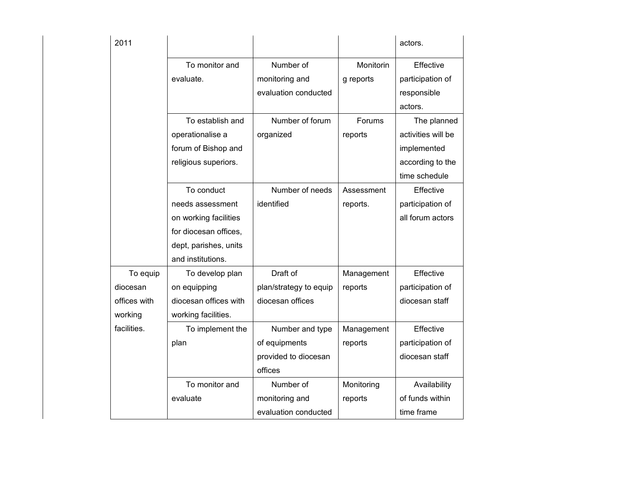| 2011         |                       |                        |            | actors.            |
|--------------|-----------------------|------------------------|------------|--------------------|
|              | To monitor and        | Number of              | Monitorin  | Effective          |
|              | evaluate.             | monitoring and         | g reports  | participation of   |
|              |                       | evaluation conducted   |            | responsible        |
|              |                       |                        |            | actors.            |
|              | To establish and      | Number of forum        | Forums     | The planned        |
|              | operationalise a      | organized              | reports    | activities will be |
|              | forum of Bishop and   |                        |            | implemented        |
|              | religious superiors.  |                        |            | according to the   |
|              |                       |                        |            | time schedule      |
|              | To conduct            | Number of needs        | Assessment | Effective          |
|              | needs assessment      | identified             | reports.   | participation of   |
|              | on working facilities |                        |            | all forum actors   |
|              | for diocesan offices, |                        |            |                    |
|              | dept, parishes, units |                        |            |                    |
|              | and institutions.     |                        |            |                    |
| To equip     | To develop plan       | Draft of               | Management | Effective          |
| diocesan     | on equipping          | plan/strategy to equip | reports    | participation of   |
| offices with | diocesan offices with | diocesan offices       |            | diocesan staff     |
| working      | working facilities.   |                        |            |                    |
| facilities.  | To implement the      | Number and type        | Management | Effective          |
|              | plan                  | of equipments          | reports    | participation of   |
|              |                       | provided to diocesan   |            | diocesan staff     |
|              |                       | offices                |            |                    |
|              | To monitor and        | Number of              | Monitoring | Availability       |
|              | evaluate              | monitoring and         | reports    | of funds within    |
|              |                       | evaluation conducted   |            | time frame         |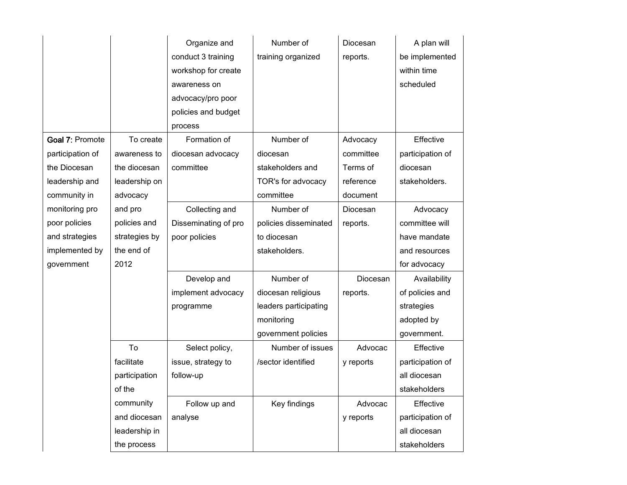|                  |               | Organize and         | Number of             | Diocesan  | A plan will      |
|------------------|---------------|----------------------|-----------------------|-----------|------------------|
|                  |               | conduct 3 training   | training organized    | reports.  | be implemented   |
|                  |               | workshop for create  |                       |           | within time      |
|                  |               | awareness on         |                       |           | scheduled        |
|                  |               | advocacy/pro poor    |                       |           |                  |
|                  |               | policies and budget  |                       |           |                  |
|                  |               | process              |                       |           |                  |
| Goal 7: Promote  | To create     | Formation of         | Number of             | Advocacy  | Effective        |
| participation of | awareness to  | diocesan advocacy    | diocesan              | committee | participation of |
| the Diocesan     | the diocesan  | committee            | stakeholders and      | Terms of  | diocesan         |
| leadership and   | leadership on |                      | TOR's for advocacy    | reference | stakeholders.    |
| community in     | advocacy      |                      | committee             | document  |                  |
| monitoring pro   | and pro       | Collecting and       | Number of             | Diocesan  | Advocacy         |
| poor policies    | policies and  | Disseminating of pro | policies disseminated | reports.  | committee will   |
| and strategies   | strategies by | poor policies        | to diocesan           |           | have mandate     |
| implemented by   | the end of    |                      | stakeholders.         |           | and resources    |
| government       | 2012          |                      |                       |           | for advocacy     |
|                  |               | Develop and          | Number of             | Diocesan  | Availability     |
|                  |               | implement advocacy   | diocesan religious    | reports.  | of policies and  |
|                  |               | programme            | leaders participating |           | strategies       |
|                  |               |                      | monitoring            |           | adopted by       |
|                  |               |                      | government policies   |           | government.      |
|                  | To            | Select policy,       | Number of issues      | Advocac   | Effective        |
|                  | facilitate    | issue, strategy to   | /sector identified    | y reports | participation of |
|                  | participation | follow-up            |                       |           | all diocesan     |
|                  | of the        |                      |                       |           | stakeholders     |
|                  | community     | Follow up and        | Key findings          | Advocac   | Effective        |
|                  | and diocesan  | analyse              |                       | y reports | participation of |
|                  | leadership in |                      |                       |           | all diocesan     |
|                  | the process   |                      |                       |           | stakeholders     |